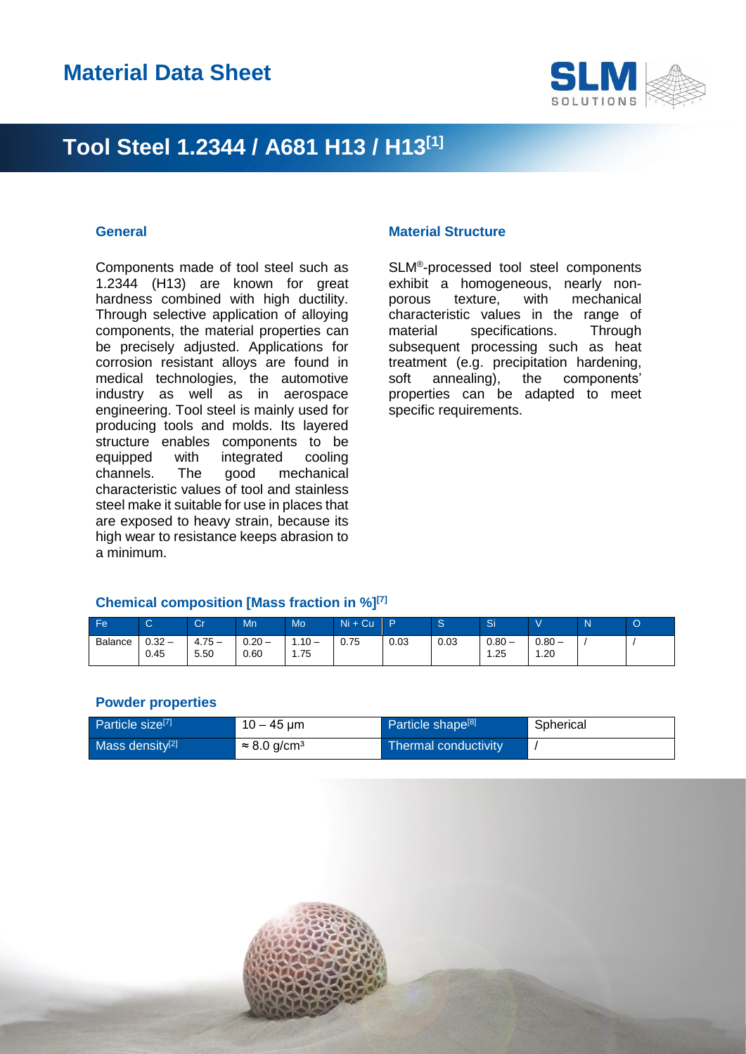

### **Tool Steel 1.2344 / A681 H13 / H13[1]**

Components made of tool steel such as 1.2344 (H13) are known for great hardness combined with high ductility. Through selective application of alloying components, the material properties can be precisely adjusted. Applications for corrosion resistant alloys are found in medical technologies, the automotive industry as well as in aerospace engineering. Tool steel is mainly used for producing tools and molds. Its layered structure enables components to be equipped with integrated cooling<br>channels. The good mechanical channels. The good mechanical characteristic values of tool and stainless steel make it suitable for use in places that are exposed to heavy strain, because its high wear to resistance keeps abrasion to a minimum.

#### **General Material Structure**

SLM® -processed tool steel components exhibit a homogeneous, nearly nonporous texture, with mechanical characteristic values in the range of material specifications. Through subsequent processing such as heat treatment (e.g. precipitation hardening, soft annealing), the components' properties can be adapted to meet specific requirements.

#### **Chemical composition [Mass fraction in %][7]**

| <b>Fe</b>      |              | <b>Separate</b><br>ال | Mn               | <b>Mo</b>       | $Ni + Cu$ | Ð    |      | Si               |                 | N | O |
|----------------|--------------|-----------------------|------------------|-----------------|-----------|------|------|------------------|-----------------|---|---|
| <b>Balance</b> | 0.32<br>0.45 | $4.75 -$<br>5.50      | $0.20 -$<br>0.60 | $.10 -$<br>. 75 | 0.75      | 0.03 | 0.03 | $0.80 -$<br>1.25 | $0.80 -$<br>.20 |   |   |

#### **Powder properties**

| Particle size <sup>[7]</sup> | $10 - 45 \,\mathrm{\upmu m}$    | Particle shape <sup>[8]</sup> | Spherical |
|------------------------------|---------------------------------|-------------------------------|-----------|
| Mass density <sup>[2]</sup>  | $\approx 8.0$ g/cm <sup>3</sup> | Thermal conductivity          |           |

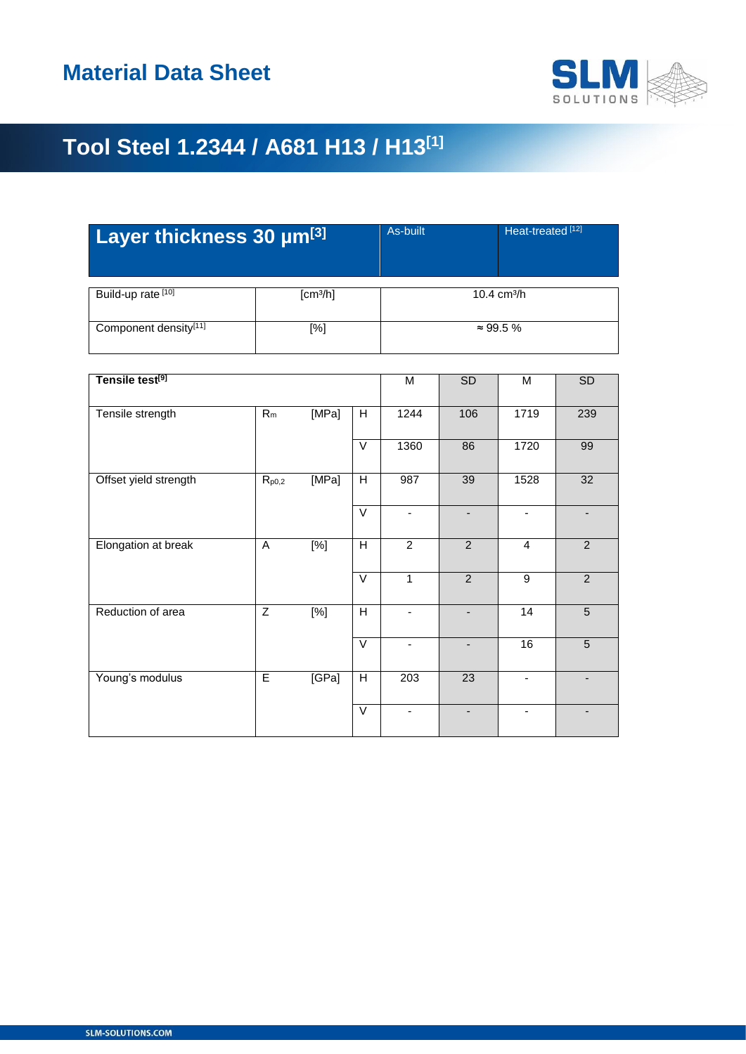

# **Tool Steel 1.2344 / A681 H13 / H13[1]**

| Layer thickness 30 um <sup>[3]</sup> |                      | As-built              | Heat-treated <sup>[12]</sup> |  |  |
|--------------------------------------|----------------------|-----------------------|------------------------------|--|--|
| Build-up rate [10]                   | [cm <sup>3</sup> /h] | $10.4 \text{ cm}^3/h$ |                              |  |  |
| Component density[11]                | [%]                  | $\approx 99.5 \%$     |                              |  |  |

| Tensile test <sup>[9]</sup> |                |                  |                | M                        | SD                       | M              | SD             |
|-----------------------------|----------------|------------------|----------------|--------------------------|--------------------------|----------------|----------------|
| Tensile strength            | $R_m$          | [MPa]            | H              | 1244                     | 106                      | 1719           | 239            |
|                             |                |                  | $\vee$         | 1360                     | 86                       | 1720           | 99             |
| Offset yield strength       | $R_{p0,2}$     | [MPa]            | H              | 987                      | 39                       | 1528           | 32             |
|                             |                |                  | $\vee$         | ٠                        |                          | ٠              |                |
| Elongation at break         | A              | $\overline{[%]}$ | $\overline{H}$ | $\overline{2}$           | $\overline{2}$           | $\overline{4}$ | 2              |
|                             |                |                  | $\vee$         | $\mathbf{1}$             | $\overline{2}$           | $\overline{9}$ | $\overline{2}$ |
| Reduction of area           | $\overline{Z}$ | [%]              | $\overline{H}$ |                          |                          | 14             | $\overline{5}$ |
|                             |                |                  | $\vee$         | $\overline{\phantom{0}}$ | $\overline{\phantom{a}}$ | 16             | 5              |
| Young's modulus             | E              | [GPa]            | $\overline{H}$ | 203                      | 23                       |                |                |
|                             |                |                  | $\vee$         | ٠                        |                          |                |                |